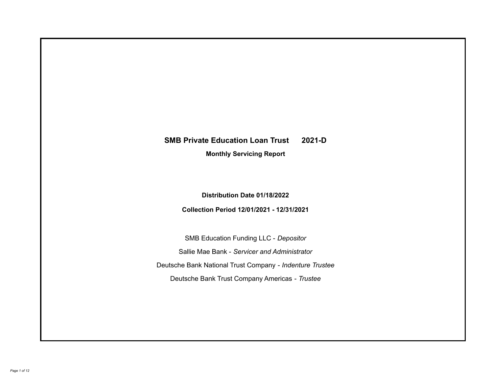# **SMB Private Education Loan Trust 2021-D**

**Monthly Servicing Report**

**Distribution Date 01/18/2022**

**Collection Period 12/01/2021 - 12/31/2021**

SMB Education Funding LLC - *Depositor* Sallie Mae Bank - *Servicer and Administrator* Deutsche Bank National Trust Company - *Indenture Trustee* Deutsche Bank Trust Company Americas - *Trustee*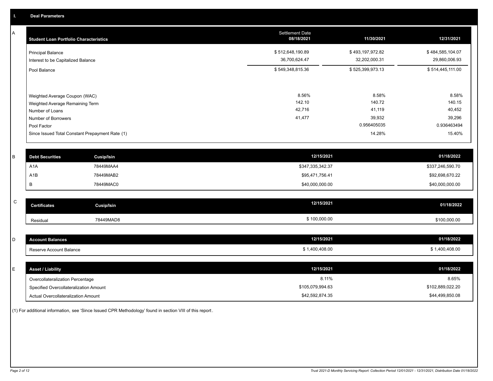A

| <b>Student Loan Portfolio Characteristics</b>                  | <b>Settlement Date</b><br>08/18/2021 | 11/30/2021                        | 12/31/2021                        |
|----------------------------------------------------------------|--------------------------------------|-----------------------------------|-----------------------------------|
| <b>Principal Balance</b><br>Interest to be Capitalized Balance | \$512,648,190.89<br>36,700,624.47    | \$493,197,972.82<br>32,202,000.31 | \$484,585,104.07<br>29,860,006.93 |
| Pool Balance                                                   | \$549,348,815.36                     | \$525,399,973.13                  | \$514,445,111.00                  |
|                                                                |                                      |                                   |                                   |
| Weighted Average Coupon (WAC)                                  | 8.56%                                | 8.58%                             | 8.58%                             |
| Weighted Average Remaining Term                                | 142.10                               | 140.72                            | 140.15                            |
| Number of Loans                                                | 42,716                               | 41,119                            | 40,452                            |
| Number of Borrowers                                            | 41,477                               | 39,932                            | 39,296                            |
| Pool Factor                                                    |                                      | 0.956405035                       | 0.936463494                       |
| Since Issued Total Constant Prepayment Rate (1)                |                                      | 14.28%                            | 15.40%                            |
|                                                                |                                      |                                   |                                   |

| <b>Debt Securities</b> | <b>Cusip/Isin</b> | 12/15/2021       | 01/18/2022       |
|------------------------|-------------------|------------------|------------------|
| A <sub>1</sub> A       | 78449MAA4         | \$347,335,342.37 | \$337,246,590.70 |
| A1B                    | 78449MAB2         | \$95,471,756.41  | \$92,698,670.22  |
|                        | 78449MAC0         | \$40,000,000.00  | \$40,000,000.00  |

| $\sim$<br>u | <b>Certificates</b> | Cusip/Isin | 12/15/2021   | 01/18/2022   |
|-------------|---------------------|------------|--------------|--------------|
|             | Residual            | 78449MAD8  | \$100,000.00 | \$100,000.00 |

| <b>Account Balances</b> | 12/15/2021   | 01/18/2022     |
|-------------------------|--------------|----------------|
| Reserve Account Balance | 1,400,408.00 | \$1,400,408.00 |

| <b>Asset / Liability</b>               | 12/15/2021       | 01/18/2022       |
|----------------------------------------|------------------|------------------|
| Overcollateralization Percentage       | 8.11%            | 8.65%            |
| Specified Overcollateralization Amount | \$105,079,994.63 | \$102,889,022.20 |
| Actual Overcollateralization Amount    | \$42,592,874.35  | \$44,499,850.08  |

(1) For additional information, see 'Since Issued CPR Methodology' found in section VIII of this report .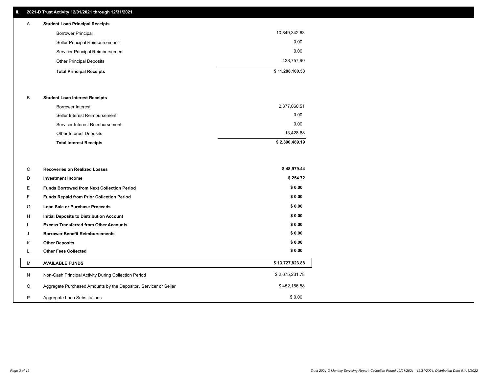# **II. 2021-D Trust Activity 12/01/2021 through 12/31/2021**

| А | <b>Student Loan Principal Receipts</b> |                 |
|---|----------------------------------------|-----------------|
|   | <b>Borrower Principal</b>              | 10,849,342.63   |
|   | Seller Principal Reimbursement         | 0.00            |
|   | Servicer Principal Reimbursement       | 0.00            |
|   | <b>Other Principal Deposits</b>        | 438,757.90      |
|   | <b>Total Principal Receipts</b>        | \$11,288,100.53 |

#### B **Student Loan Interest Receipts**

| <b>Total Interest Receipts</b>  | \$2,390,489.19 |
|---------------------------------|----------------|
| Other Interest Deposits         | 13,428.68      |
| Servicer Interest Reimbursement | 0.00           |
| Seller Interest Reimbursement   | 0.00           |
| Borrower Interest               | 2,377,060.51   |

| C       | <b>Recoveries on Realized Losses</b>                             | \$48,979.44     |
|---------|------------------------------------------------------------------|-----------------|
| D       | <b>Investment Income</b>                                         | \$254.72        |
| Е.      | <b>Funds Borrowed from Next Collection Period</b>                | \$0.00          |
| F.      | Funds Repaid from Prior Collection Period                        | \$0.00          |
| G       | Loan Sale or Purchase Proceeds                                   | \$0.00          |
| H       | Initial Deposits to Distribution Account                         | \$0.00          |
|         | <b>Excess Transferred from Other Accounts</b>                    | \$0.00          |
| J       | <b>Borrower Benefit Reimbursements</b>                           | \$0.00          |
| Κ       | <b>Other Deposits</b>                                            | \$0.00          |
|         | <b>Other Fees Collected</b>                                      | \$0.00          |
| М       | <b>AVAILABLE FUNDS</b>                                           | \$13,727,823.88 |
| N       | Non-Cash Principal Activity During Collection Period             | \$2,675,231.78  |
| $\circ$ | Aggregate Purchased Amounts by the Depositor, Servicer or Seller | \$452,186.58    |
| P       | Aggregate Loan Substitutions                                     | \$0.00          |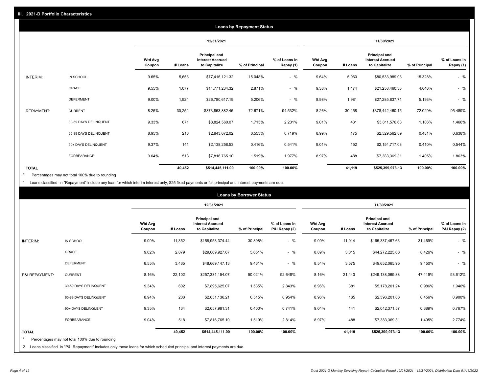| <b>Loans by Repayment Status</b> |                       |                          |         |                                                           |                |                            |                          |         |                                                           |                |                            |
|----------------------------------|-----------------------|--------------------------|---------|-----------------------------------------------------------|----------------|----------------------------|--------------------------|---------|-----------------------------------------------------------|----------------|----------------------------|
|                                  |                       |                          |         | 12/31/2021                                                |                |                            |                          |         | 11/30/2021                                                |                |                            |
|                                  |                       | <b>Wtd Avg</b><br>Coupon | # Loans | Principal and<br><b>Interest Accrued</b><br>to Capitalize | % of Principal | % of Loans in<br>Repay (1) | <b>Wtd Avg</b><br>Coupon | # Loans | Principal and<br><b>Interest Accrued</b><br>to Capitalize | % of Principal | % of Loans in<br>Repay (1) |
| INTERIM:                         | IN SCHOOL             | 9.65%                    | 5,653   | \$77,416,121.32                                           | 15.048%        | $-$ %                      | 9.64%                    | 5,960   | \$80,533,989.03                                           | 15.328%        | $-$ %                      |
|                                  | GRACE                 | 9.55%                    | 1,077   | \$14,771,234.32                                           | 2.871%         | $-$ %                      | 9.38%                    | 1,474   | \$21,258,460.33                                           | 4.046%         | $-$ %                      |
|                                  | <b>DEFERMENT</b>      | 9.00%                    | 1,924   | \$26,780,617.19                                           | 5.206%         | $-$ %                      | 8.98%                    | 1,981   | \$27,285,837.71                                           | 5.193%         | $-$ %                      |
| <b>REPAYMENT:</b>                | <b>CURRENT</b>        | 8.25%                    | 30,252  | \$373,853,882.45                                          | 72.671%        | 94.532%                    | 8.26%                    | 30,458  | \$378,442,460.15                                          | 72.029%        | 95.489%                    |
|                                  | 30-59 DAYS DELINQUENT | 9.33%                    | 671     | \$8,824,560.07                                            | 1.715%         | 2.231%                     | 9.01%                    | 431     | \$5,811,576.68                                            | 1.106%         | 1.466%                     |
|                                  | 60-89 DAYS DELINQUENT | 8.95%                    | 216     | \$2,843,672.02                                            | 0.553%         | 0.719%                     | 8.99%                    | 175     | \$2,529,562.89                                            | 0.481%         | 0.638%                     |
|                                  | 90+ DAYS DELINQUENT   | 9.37%                    | 141     | \$2,138,258.53                                            | 0.416%         | 0.541%                     | 9.01%                    | 152     | \$2,154,717.03                                            | 0.410%         | 0.544%                     |
|                                  | <b>FORBEARANCE</b>    | 9.04%                    | 518     | \$7,816,765.10                                            | 1.519%         | 1.977%                     | 8.97%                    | 488     | \$7,383,369.31                                            | 1.405%         | 1.863%                     |
| <b>TOTAL</b>                     |                       |                          | 40,452  | \$514,445,111.00                                          | 100.00%        | 100.00%                    |                          | 41,119  | \$525,399,973.13                                          | 100.00%        | 100.00%                    |

Percentages may not total 100% due to rounding \*

1 Loans classified in "Repayment" include any loan for which interim interest only, \$25 fixed payments or full principal and interest payments are due.

|                |                                                                                                                              |                          |         |                                                           | <b>Loans by Borrower Status</b> |                                |                          |         |                                                           |                |                                |
|----------------|------------------------------------------------------------------------------------------------------------------------------|--------------------------|---------|-----------------------------------------------------------|---------------------------------|--------------------------------|--------------------------|---------|-----------------------------------------------------------|----------------|--------------------------------|
|                |                                                                                                                              |                          |         | 12/31/2021                                                |                                 |                                |                          |         | 11/30/2021                                                |                |                                |
|                |                                                                                                                              | <b>Wtd Avg</b><br>Coupon | # Loans | Principal and<br><b>Interest Accrued</b><br>to Capitalize | % of Principal                  | % of Loans in<br>P&I Repay (2) | <b>Wtd Avg</b><br>Coupon | # Loans | Principal and<br><b>Interest Accrued</b><br>to Capitalize | % of Principal | % of Loans in<br>P&I Repay (2) |
| INTERIM:       | IN SCHOOL                                                                                                                    | 9.09%                    | 11,352  | \$158,953,374.44                                          | 30.898%                         | $-$ %                          | 9.09%                    | 11,914  | \$165,337,467.66                                          | 31.469%        | $-$ %                          |
|                | <b>GRACE</b>                                                                                                                 | 9.02%                    | 2,079   | \$29,069,927.67                                           | 5.651%                          | $-$ %                          | 8.89%                    | 3,015   | \$44,272,225.66                                           | 8.426%         | $-$ %                          |
|                | <b>DEFERMENT</b>                                                                                                             | 8.55%                    | 3,465   | \$48,669,147.13                                           | 9.461%                          | $-$ %                          | 8.54%                    | 3,575   | \$49,652,065.95                                           | 9.450%         | $-$ %                          |
| P&I REPAYMENT: | <b>CURRENT</b>                                                                                                               | 8.16%                    | 22,102  | \$257,331,154.07                                          | 50.021%                         | 92.648%                        | 8.16%                    | 21,440  | \$249,138,069.88                                          | 47.419%        | 93.612%                        |
|                | 30-59 DAYS DELINQUENT                                                                                                        | 9.34%                    | 602     | \$7,895,625.07                                            | 1.535%                          | 2.843%                         | 8.96%                    | 381     | \$5,178,201.24                                            | 0.986%         | 1.946%                         |
|                | 60-89 DAYS DELINQUENT                                                                                                        | 8.94%                    | 200     | \$2,651,136.21                                            | 0.515%                          | 0.954%                         | 8.96%                    | 165     | \$2,396,201.86                                            | 0.456%         | 0.900%                         |
|                | 90+ DAYS DELINQUENT                                                                                                          | 9.35%                    | 134     | \$2,057,981.31                                            | 0.400%                          | 0.741%                         | 9.04%                    | 141     | \$2,042,371.57                                            | 0.389%         | 0.767%                         |
|                | <b>FORBEARANCE</b>                                                                                                           | 9.04%                    | 518     | \$7,816,765.10                                            | 1.519%                          | 2.814%                         | 8.97%                    | 488     | \$7,383,369.31                                            | 1.405%         | 2.774%                         |
| <b>TOTAL</b>   |                                                                                                                              |                          | 40,452  | \$514,445,111.00                                          | 100.00%                         | 100.00%                        |                          | 41,119  | \$525,399,973.13                                          | 100.00%        | 100.00%                        |
|                | Percentages may not total 100% due to rounding                                                                               |                          |         |                                                           |                                 |                                |                          |         |                                                           |                |                                |
|                | 2 Loans classified in "P&I Repayment" includes only those loans for which scheduled principal and interest payments are due. |                          |         |                                                           |                                 |                                |                          |         |                                                           |                |                                |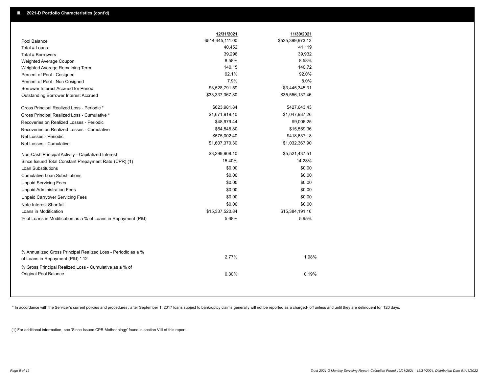|                                                                                                  | 12/31/2021       | 11/30/2021       |  |
|--------------------------------------------------------------------------------------------------|------------------|------------------|--|
| Pool Balance                                                                                     | \$514,445,111.00 | \$525,399,973.13 |  |
| Total # Loans                                                                                    | 40,452           | 41,119           |  |
| Total # Borrowers                                                                                | 39,296           | 39,932           |  |
| Weighted Average Coupon                                                                          | 8.58%            | 8.58%            |  |
| Weighted Average Remaining Term                                                                  | 140.15           | 140.72           |  |
| Percent of Pool - Cosigned                                                                       | 92.1%            | 92.0%            |  |
| Percent of Pool - Non Cosigned                                                                   | 7.9%             | 8.0%             |  |
| Borrower Interest Accrued for Period                                                             | \$3,528,791.59   | \$3,445,345.31   |  |
| Outstanding Borrower Interest Accrued                                                            | \$33,337,367.80  | \$35,556,137.46  |  |
| Gross Principal Realized Loss - Periodic *                                                       | \$623,981.84     | \$427,643.43     |  |
| Gross Principal Realized Loss - Cumulative *                                                     | \$1,671,919.10   | \$1,047,937.26   |  |
| Recoveries on Realized Losses - Periodic                                                         | \$48,979.44      | \$9,006.25       |  |
| Recoveries on Realized Losses - Cumulative                                                       | \$64,548.80      | \$15,569.36      |  |
| Net Losses - Periodic                                                                            | \$575,002.40     | \$418,637.18     |  |
| Net Losses - Cumulative                                                                          | \$1,607,370.30   | \$1,032,367.90   |  |
| Non-Cash Principal Activity - Capitalized Interest                                               | \$3,299,908.10   | \$5,521,437.51   |  |
| Since Issued Total Constant Prepayment Rate (CPR) (1)                                            | 15.40%           | 14.28%           |  |
| <b>Loan Substitutions</b>                                                                        | \$0.00           | \$0.00           |  |
| <b>Cumulative Loan Substitutions</b>                                                             | \$0.00           | \$0.00           |  |
| <b>Unpaid Servicing Fees</b>                                                                     | \$0.00           | \$0.00           |  |
| <b>Unpaid Administration Fees</b>                                                                | \$0.00           | \$0.00           |  |
| <b>Unpaid Carryover Servicing Fees</b>                                                           | \$0.00           | \$0.00           |  |
| Note Interest Shortfall                                                                          | \$0.00           | \$0.00           |  |
| Loans in Modification                                                                            | \$15,337,520.84  | \$15,384,191.16  |  |
| % of Loans in Modification as a % of Loans in Repayment (P&I)                                    | 5.68%            | 5.95%            |  |
|                                                                                                  |                  |                  |  |
| % Annualized Gross Principal Realized Loss - Periodic as a %<br>of Loans in Repayment (P&I) * 12 | 2.77%            | 1.98%            |  |
| % Gross Principal Realized Loss - Cumulative as a % of                                           |                  |                  |  |
| <b>Original Pool Balance</b>                                                                     | 0.30%            | 0.19%            |  |

\* In accordance with the Servicer's current policies and procedures, after September 1, 2017 loans subject to bankruptcy claims generally will not be reported as a charged- off unless and until they are delinquent for 120

(1) For additional information, see 'Since Issued CPR Methodology' found in section VIII of this report .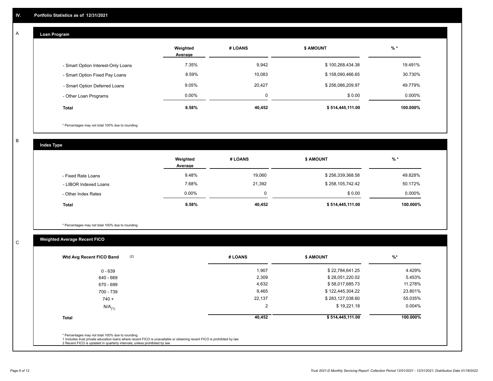## **Loan Program**

A

|                                    | Weighted<br>Average | # LOANS     | <b>\$ AMOUNT</b> | $%$ *    |
|------------------------------------|---------------------|-------------|------------------|----------|
| - Smart Option Interest-Only Loans | 7.35%               | 9,942       | \$100,268,434.38 | 19.491%  |
| - Smart Option Fixed Pay Loans     | 8.59%               | 10,083      | \$158,090,466.65 | 30.730%  |
| - Smart Option Deferred Loans      | 9.05%               | 20,427      | \$256,086,209.97 | 49.779%  |
| - Other Loan Programs              | $0.00\%$            | $\mathbf 0$ | \$0.00           | 0.000%   |
| <b>Total</b>                       | 8.58%               | 40,452      | \$514,445,111.00 | 100.000% |

\* Percentages may not total 100% due to rounding

B

C

**Index Type**

|                       | Weighted<br>Average | # LOANS | <b>\$ AMOUNT</b> | $%$ *     |
|-----------------------|---------------------|---------|------------------|-----------|
| - Fixed Rate Loans    | 9.48%               | 19,060  | \$256,339,368.58 | 49.828%   |
| - LIBOR Indexed Loans | 7.68%               | 21,392  | \$258,105,742.42 | 50.172%   |
| - Other Index Rates   | $0.00\%$            |         | \$0.00           | $0.000\%$ |
| <b>Total</b>          | 8.58%               | 40,452  | \$514,445,111.00 | 100.000%  |

\* Percentages may not total 100% due to rounding

# **Weighted Average Recent FICO**

| (2)<br>Wtd Avg Recent FICO Band | # LOANS        | <b>\$ AMOUNT</b> | $%$ *     |
|---------------------------------|----------------|------------------|-----------|
| $0 - 639$                       | 1,907          | \$22,784,641.25  | 4.429%    |
| 640 - 669                       | 2,309          | \$28,051,220.02  | 5.453%    |
| 670 - 699                       | 4,632          | \$58,017,685.73  | 11.278%   |
| 700 - 739                       | 9,465          | \$122,445,304.22 | 23.801%   |
| $740 +$                         | 22,137         | \$283,127,038.60 | 55.035%   |
| $N/A$ <sub>(1)</sub>            | $\overline{2}$ | \$19,221.18      | $0.004\%$ |
| <b>Total</b>                    | 40,452         | \$514,445,111.00 | 100.000%  |
|                                 |                |                  |           |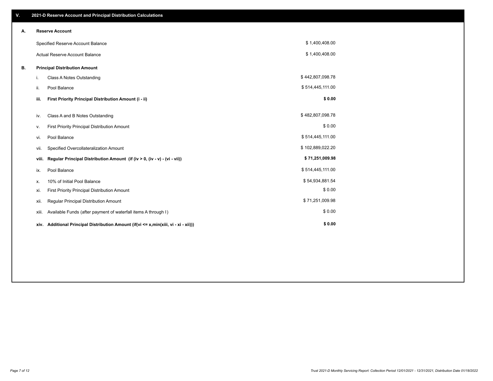| V. |       | 2021-D Reserve Account and Principal Distribution Calculations                       |                  |  |
|----|-------|--------------------------------------------------------------------------------------|------------------|--|
| А. |       | <b>Reserve Account</b>                                                               |                  |  |
|    |       | Specified Reserve Account Balance                                                    | \$1,400,408.00   |  |
|    |       | <b>Actual Reserve Account Balance</b>                                                | \$1,400,408.00   |  |
| В. |       | <b>Principal Distribution Amount</b>                                                 |                  |  |
|    | i.    | <b>Class A Notes Outstanding</b>                                                     | \$442,807,098.78 |  |
|    | ii.   | Pool Balance                                                                         | \$514,445,111.00 |  |
|    | iii.  | First Priority Principal Distribution Amount (i - ii)                                | \$0.00           |  |
|    |       | Class A and B Notes Outstanding                                                      | \$482,807,098.78 |  |
|    | iv.   |                                                                                      |                  |  |
|    | ν.    | First Priority Principal Distribution Amount                                         | \$0.00           |  |
|    | vi.   | Pool Balance                                                                         | \$514,445,111.00 |  |
|    | vii.  | Specified Overcollateralization Amount                                               | \$102,889,022.20 |  |
|    | viii. | Regular Principal Distribution Amount (if (iv > 0, (iv - v) - (vi - vii))            | \$71,251,009.98  |  |
|    | ix.   | Pool Balance                                                                         | \$514,445,111.00 |  |
|    | х.    | 10% of Initial Pool Balance                                                          | \$54,934,881.54  |  |
|    | xi.   | First Priority Principal Distribution Amount                                         | \$0.00           |  |
|    | xii.  | Regular Principal Distribution Amount                                                | \$71,251,009.98  |  |
|    | xiii. | Available Funds (after payment of waterfall items A through I)                       | \$0.00           |  |
|    |       | xiv. Additional Principal Distribution Amount (if(vi <= x,min(xiii, vi - xi - xii))) | \$0.00           |  |
|    |       |                                                                                      |                  |  |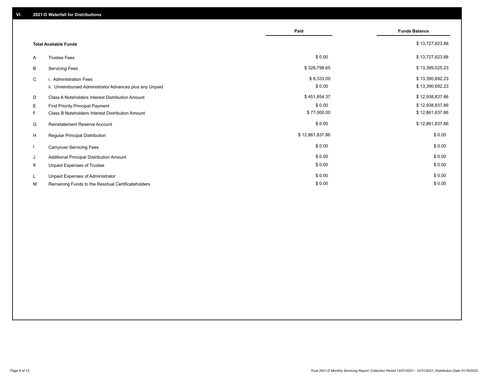|    |                                                         | Paid            | <b>Funds Balance</b> |
|----|---------------------------------------------------------|-----------------|----------------------|
|    | <b>Total Available Funds</b>                            |                 | \$13,727,823.88      |
| A  | <b>Trustee Fees</b>                                     | \$0.00          | \$13,727,823.88      |
| В  | <b>Servicing Fees</b>                                   | \$328,798.65    | \$13,399,025.23      |
| C  | i. Administration Fees                                  | \$8,333.00      | \$13,390,692.23      |
|    | ii. Unreimbursed Administrator Advances plus any Unpaid | \$0.00          | \$13,390,692.23      |
| D  | Class A Noteholders Interest Distribution Amount        | \$451,854.37    | \$12,938,837.86      |
| E. | First Priority Principal Payment                        | \$0.00          | \$12,938,837.86      |
| F. | Class B Noteholders Interest Distribution Amount        | \$77,000.00     | \$12,861,837.86      |
| G  | <b>Reinstatement Reserve Account</b>                    | \$0.00          | \$12,861,837.86      |
| H  | Regular Principal Distribution                          | \$12,861,837.86 | \$0.00               |
|    | <b>Carryover Servicing Fees</b>                         | \$0.00          | \$0.00               |
| J  | Additional Principal Distribution Amount                | \$0.00          | \$0.00               |
| Κ  | Unpaid Expenses of Trustee                              | \$0.00          | \$0.00               |
| L. | Unpaid Expenses of Administrator                        | \$0.00          | \$0.00               |
| М  | Remaining Funds to the Residual Certificateholders      | \$0.00          | \$0.00               |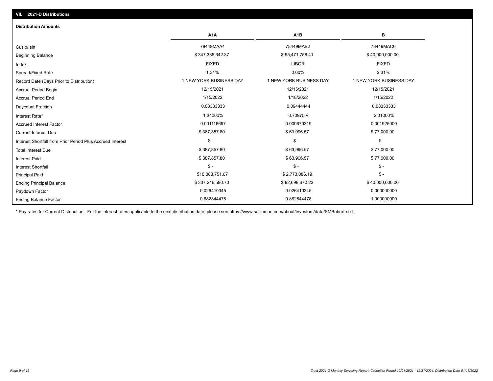| <b>Distribution Amounts</b>                                |                         |                         |                         |
|------------------------------------------------------------|-------------------------|-------------------------|-------------------------|
|                                                            | A <sub>1</sub> A        | A <sub>1</sub> B        | в                       |
| Cusip/Isin                                                 | 78449MAA4               | 78449MAB2               | 78449MAC0               |
| <b>Beginning Balance</b>                                   | \$347,335,342.37        | \$95,471,756.41         | \$40,000,000.00         |
| Index                                                      | <b>FIXED</b>            | <b>LIBOR</b>            | <b>FIXED</b>            |
| Spread/Fixed Rate                                          | 1.34%                   | 0.60%                   | 2.31%                   |
| Record Date (Days Prior to Distribution)                   | 1 NEW YORK BUSINESS DAY | 1 NEW YORK BUSINESS DAY | 1 NEW YORK BUSINESS DAY |
| <b>Accrual Period Begin</b>                                | 12/15/2021              | 12/15/2021              | 12/15/2021              |
| <b>Accrual Period End</b>                                  | 1/15/2022               | 1/18/2022               | 1/15/2022               |
| Daycount Fraction                                          | 0.08333333              | 0.09444444              | 0.08333333              |
| Interest Rate*                                             | 1.34000%                | 0.70975%                | 2.31000%                |
| <b>Accrued Interest Factor</b>                             | 0.001116667             | 0.000670319             | 0.001925000             |
| <b>Current Interest Due</b>                                | \$387,857.80            | \$63,996.57             | \$77,000.00             |
| Interest Shortfall from Prior Period Plus Accrued Interest | $\mathsf{\$}$ -         | $$ -$                   | $$ -$                   |
| <b>Total Interest Due</b>                                  | \$387,857.80            | \$63,996.57             | \$77,000.00             |
| <b>Interest Paid</b>                                       | \$387,857.80            | \$63,996.57             | \$77,000.00             |
| <b>Interest Shortfall</b>                                  | $\mathsf{\$}$ -         | $$ -$                   | $\mathcal{S}$ -         |
| <b>Principal Paid</b>                                      | \$10,088,751.67         | \$2,773,086.19          | $$ -$                   |
| <b>Ending Principal Balance</b>                            | \$337,246,590.70        | \$92,698,670.22         | \$40,000,000.00         |
| Paydown Factor                                             | 0.026410345             | 0.026410345             | 0.000000000             |
| <b>Ending Balance Factor</b>                               | 0.882844478             | 0.882844478             | 1.000000000             |

\* Pay rates for Current Distribution. For the interest rates applicable to the next distribution date, please see https://www.salliemae.com/about/investors/data/SMBabrate.txt.

**VII. 2021-D Distributions**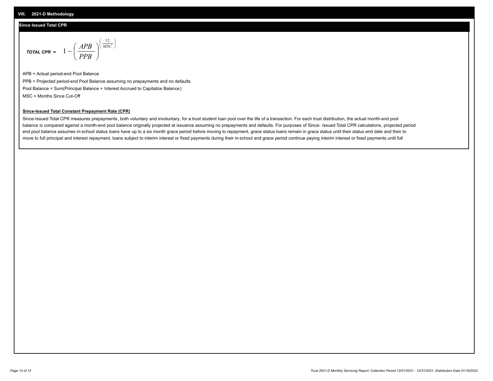## **Since Issued Total CPR**

$$
\text{total CPR} = 1 - \left(\frac{APB}{PPB}\right)^{\left(\frac{12}{MSC}\right)}
$$

APB = Actual period-end Pool Balance PPB = Projected period-end Pool Balance assuming no prepayments and no defaults Pool Balance = Sum(Principal Balance + Interest Accrued to Capitalize Balance) MSC = Months Since Cut-Off

I J Ι

### **Since-Issued Total Constant Prepayment Rate (CPR)**

Since-Issued Total CPR measures prepayments, both voluntary and involuntary, for a trust student loan pool over the life of a transaction. For each trust distribution, the actual month-end pool balance is compared against a month-end pool balance originally projected at issuance assuming no prepayments and defaults. For purposes of Since- Issued Total CPR calculations, projected period end pool balance assumes in-school status loans have up to a six month grace period before moving to repayment, grace status loans remain in grace status until their status end date and then to move to full principal and interest repayment, loans subject to interim interest or fixed payments during their in-school and grace period continue paying interim interest or fixed payments until full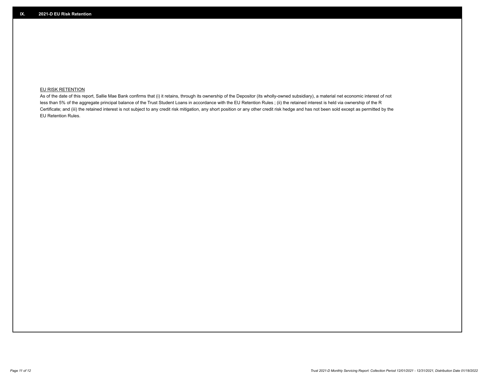## **EU RISK RETENTION**

As of the date of this report, Sallie Mae Bank confirms that (i) it retains, through its ownership of the Depositor (its wholly-owned subsidiary), a material net economic interest of not less than 5% of the aggregate principal balance of the Trust Student Loans in accordance with the EU Retention Rules ; (ii) the retained interest is held via ownership of the R Certificate; and (iii) the retained interest is not subject to any credit risk mitigation, any short position or any other credit risk hedge and has not been sold except as permitted by the EU Retention Rules.